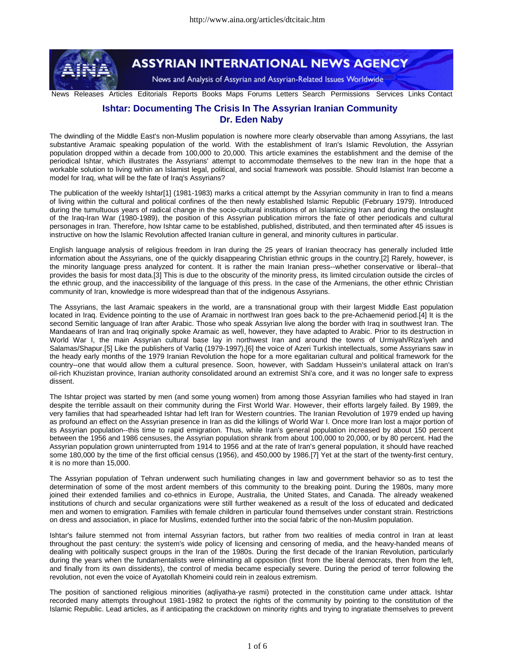

# **ASSYRIAN INTERNATIONAL NEWS AGENCY**

News and Analysis of Assyrian and Assyrian-Related Issues Worldwide

News Releases Articles Editorials Reports Books Maps Forums Letters Search Permissions Services Links Contact

# **Ishtar: Documenting The Crisis In The Assyrian Iranian Community Dr. Eden Naby**

The dwindling of the Middle East's non-Muslim population is nowhere more clearly observable than among Assyrians, the last substantive Aramaic speaking population of the world. With the establishment of Iran's Islamic Revolution, the Assyrian population dropped within a decade from 100,000 to 20,000. This article examines the establishment and the demise of the periodical Ishtar, which illustrates the Assyrians' attempt to accommodate themselves to the new Iran in the hope that a workable solution to living within an Islamist legal, political, and social framework was possible. Should Islamist Iran become a model for Iraq, what will be the fate of Iraq's Assyrians?

The publication of the weekly Ishtar[1] (1981-1983) marks a critical attempt by the Assyrian community in Iran to find a means of living within the cultural and political confines of the then newly established Islamic Republic (February 1979). Introduced during the tumultuous years of radical change in the socio-cultural institutions of an Islamicizing Iran and during the onslaught of the Iraq-Iran War (1980-1989), the position of this Assyrian publication mirrors the fate of other periodicals and cultural personages in Iran. Therefore, how Ishtar came to be established, published, distributed, and then terminated after 45 issues is instructive on how the Islamic Revolution affected Iranian culture in general, and minority cultures in particular.

English language analysis of religious freedom in Iran during the 25 years of Iranian theocracy has generally included little information about the Assyrians, one of the quickly disappearing Christian ethnic groups in the country.[2] Rarely, however, is the minority language press analyzed for content. It is rather the main Iranian press--whether conservative or liberal--that provides the basis for most data.[3] This is due to the obscurity of the minority press, its limited circulation outside the circles of the ethnic group, and the inaccessibility of the language of this press. In the case of the Armenians, the other ethnic Christian community of Iran, knowledge is more widespread than that of the indigenous Assyrians.

The Assyrians, the last Aramaic speakers in the world, are a transnational group with their largest Middle East population located in Iraq. Evidence pointing to the use of Aramaic in northwest Iran goes back to the pre-Achaemenid period.[4] It is the second Semitic language of Iran after Arabic. Those who speak Assyrian live along the border with Iraq in southwest Iran. The Mandaeans of Iran and Iraq originally spoke Aramaic as well, however, they have adapted to Arabic. Prior to its destruction in World War I, the main Assyrian cultural base lay in northwest Iran and around the towns of Urmiyah/Riza'iyeh and Salamas/Shapur.[5] Like the publishers of Varliq (1979-1997),[6] the voice of Azeri Turkish intellectuals, some Assyrians saw in the heady early months of the 1979 Iranian Revolution the hope for a more egalitarian cultural and political framework for the country--one that would allow them a cultural presence. Soon, however, with Saddam Hussein's unilateral attack on Iran's oil-rich Khuzistan province, Iranian authority consolidated around an extremist Shi'a core, and it was no longer safe to express dissent.

The Ishtar project was started by men (and some young women) from among those Assyrian families who had stayed in Iran despite the terrible assault on their community during the First World War. However, their efforts largely failed. By 1989, the very families that had spearheaded Ishtar had left Iran for Western countries. The Iranian Revolution of 1979 ended up having as profound an effect on the Assyrian presence in Iran as did the killings of World War I. Once more Iran lost a major portion of its Assyrian population--this time to rapid emigration. Thus, while Iran's general population increased by about 150 percent between the 1956 and 1986 censuses, the Assyrian population shrank from about 100,000 to 20,000, or by 80 percent. Had the Assyrian population grown uninterrupted from 1914 to 1956 and at the rate of Iran's general population, it should have reached some 180,000 by the time of the first official census (1956), and 450,000 by 1986.[7] Yet at the start of the twenty-first century, it is no more than 15,000.

The Assyrian population of Tehran underwent such humiliating changes in law and government behavior so as to test the determination of some of the most ardent members of this community to the breaking point. During the 1980s, many more joined their extended families and co-ethnics in Europe, Australia, the United States, and Canada. The already weakened institutions of church and secular organizations were still further weakened as a result of the loss of educated and dedicated men and women to emigration. Families with female children in particular found themselves under constant strain. Restrictions on dress and association, in place for Muslims, extended further into the social fabric of the non-Muslim population.

Ishtar's failure stemmed not from internal Assyrian factors, but rather from two realities of media control in Iran at least throughout the past century: the system's wide policy of licensing and censoring of media, and the heavy-handed means of dealing with politically suspect groups in the Iran of the 1980s. During the first decade of the Iranian Revolution, particularly during the years when the fundamentalists were eliminating all opposition (first from the liberal democrats, then from the left, and finally from its own dissidents), the control of media became especially severe. During the period of terror following the revolution, not even the voice of Ayatollah Khomeini could rein in zealous extremism.

The position of sanctioned religious minorities (aqliyatha-ye rasmi) protected in the constitution came under attack. Ishtar recorded many attempts throughout 1981-1982 to protect the rights of the community by pointing to the constitution of the Islamic Republic. Lead articles, as if anticipating the crackdown on minority rights and trying to ingratiate themselves to prevent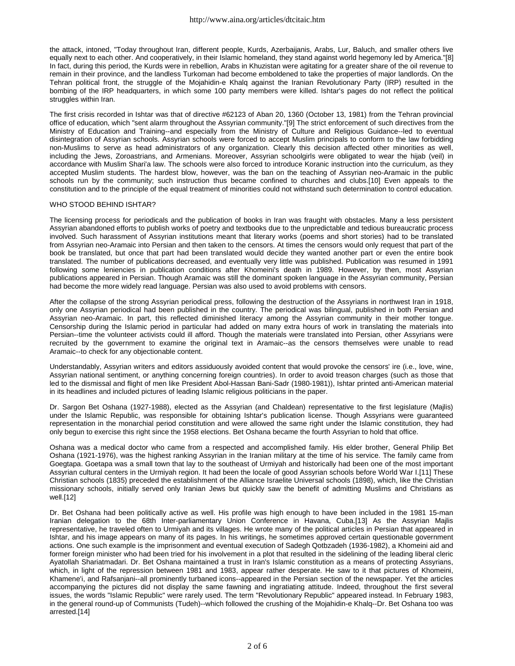the attack, intoned, "Today throughout Iran, different people, Kurds, Azerbaijanis, Arabs, Lur, Baluch, and smaller others live equally next to each other. And cooperatively, in their Islamic homeland, they stand against world hegemony led by America."[8] In fact, during this period, the Kurds were in rebellion, Arabs in Khuzistan were agitating for a greater share of the oil revenue to remain in their province, and the landless Turkoman had become emboldened to take the properties of major landlords. On the Tehran political front, the struggle of the Mojahidin-e Khalq against the Iranian Revolutionary Party (IRP) resulted in the bombing of the IRP headquarters, in which some 100 party members were killed. Ishtar's pages do not reflect the political struggles within Iran.

The first crisis recorded in Ishtar was that of directive #62123 of Aban 20, 1360 (October 13, 1981) from the Tehran provincial office of education, which "sent alarm throughout the Assyrian community."[9] The strict enforcement of such directives from the Ministry of Education and Training--and especially from the Ministry of Culture and Religious Guidance--led to eventual disintegration of Assyrian schools. Assyrian schools were forced to accept Muslim principals to conform to the law forbidding non-Muslims to serve as head administrators of any organization. Clearly this decision affected other minorities as well, including the Jews, Zoroastrians, and Armenians. Moreover, Assyrian schoolgirls were obligated to wear the hijab (veil) in accordance with Muslim Shari'a law. The schools were also forced to introduce Koranic instruction into the curriculum, as they accepted Muslim students. The hardest blow, however, was the ban on the teaching of Assyrian neo-Aramaic in the public schools run by the community; such instruction thus became confined to churches and clubs.[10] Even appeals to the constitution and to the principle of the equal treatment of minorities could not withstand such determination to control education.

# WHO STOOD BEHIND ISHTAR?

The licensing process for periodicals and the publication of books in Iran was fraught with obstacles. Many a less persistent Assyrian abandoned efforts to publish works of poetry and textbooks due to the unpredictable and tedious bureaucratic process involved. Such harassment of Assyrian institutions meant that literary works (poems and short stories) had to be translated from Assyrian neo-Aramaic into Persian and then taken to the censors. At times the censors would only request that part of the book be translated, but once that part had been translated would decide they wanted another part or even the entire book translated. The number of publications decreased, and eventually very little was published. Publication was resumed in 1991 following some leniencies in publication conditions after Khomeini's death in 1989. However, by then, most Assyrian publications appeared in Persian. Though Aramaic was still the dominant spoken language in the Assyrian community, Persian had become the more widely read language. Persian was also used to avoid problems with censors.

After the collapse of the strong Assyrian periodical press, following the destruction of the Assyrians in northwest Iran in 1918, only one Assyrian periodical had been published in the country. The periodical was bilingual, published in both Persian and Assyrian neo-Aramaic. In part, this reflected diminished literacy among the Assyrian community in their mother tongue. Censorship during the Islamic period in particular had added on many extra hours of work in translating the materials into Persian--time the volunteer activists could ill afford. Though the materials were translated into Persian, other Assyrians were recruited by the government to examine the original text in Aramaic--as the censors themselves were unable to read Aramaic--to check for any objectionable content.

Understandably, Assyrian writers and editors assiduously avoided content that would provoke the censors' ire (i.e., love, wine, Assyrian national sentiment, or anything concerning foreign countries). In order to avoid treason charges (such as those that led to the dismissal and flight of men like President Abol-Hassan Bani-Sadr (1980-1981)), Ishtar printed anti-American material in its headlines and included pictures of leading Islamic religious politicians in the paper.

Dr. Sargon Bet Oshana (1927-1988), elected as the Assyrian (and Chaldean) representative to the first legislature (Majlis) under the Islamic Republic, was responsible for obtaining Ishtar's publication license. Though Assyrians were guaranteed representation in the monarchial period constitution and were allowed the same right under the Islamic constitution, they had only begun to exercise this right since the 1958 elections. Bet Oshana became the fourth Assyrian to hold that office.

Oshana was a medical doctor who came from a respected and accomplished family. His elder brother, General Philip Bet Oshana (1921-1976), was the highest ranking Assyrian in the Iranian military at the time of his service. The family came from Goegtapa. Goetapa was a small town that lay to the southeast of Urmiyah and historically had been one of the most important Assyrian cultural centers in the Urmiyah region. It had been the locale of good Assyrian schools before World War I.[11] These Christian schools (1835) preceded the establishment of the Alliance Israelite Universal schools (1898), which, like the Christian missionary schools, initially served only Iranian Jews but quickly saw the benefit of admitting Muslims and Christians as well.[12]

Dr. Bet Oshana had been politically active as well. His profile was high enough to have been included in the 1981 15-man Iranian delegation to the 68th Inter-parliamentary Union Conference in Havana, Cuba.[13] As the Assyrian Majlis representative, he traveled often to Urmiyah and its villages. He wrote many of the political articles in Persian that appeared in Ishtar, and his image appears on many of its pages. In his writings, he sometimes approved certain questionable government actions. One such example is the imprisonment and eventual execution of Sadegh Qotbzadeh (1936-1982), a Khomeini aid and former foreign minister who had been tried for his involvement in a plot that resulted in the sidelining of the leading liberal cleric Ayatollah Shariatmadari. Dr. Bet Oshana maintained a trust in Iran's Islamic constitution as a means of protecting Assyrians, which, in light of the repression between 1981 and 1983, appear rather desperate. He saw to it that pictures of Khomeini, Khamene'i, and Rafsanjani--all prominently turbaned icons--appeared in the Persian section of the newspaper. Yet the articles accompanying the pictures did not display the same fawning and ingratiating attitude. Indeed, throughout the first several issues, the words "Islamic Republic" were rarely used. The term "Revolutionary Republic" appeared instead. In February 1983, in the general round-up of Communists (Tudeh)--which followed the crushing of the Mojahidin-e Khalq--Dr. Bet Oshana too was arrested.[14]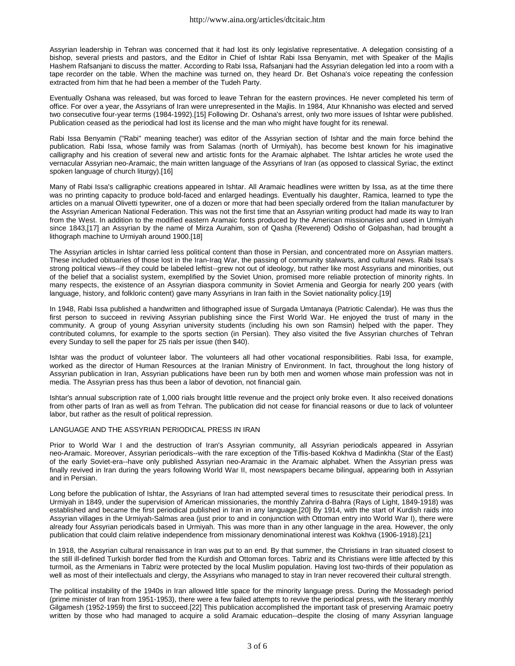Assyrian leadership in Tehran was concerned that it had lost its only legislative representative. A delegation consisting of a bishop, several priests and pastors, and the Editor in Chief of Ishtar Rabi Issa Benyamin, met with Speaker of the Majlis Hashem Rafsanjani to discuss the matter. According to Rabi Issa, Rafsanjani had the Assyrian delegation led into a room with a tape recorder on the table. When the machine was turned on, they heard Dr. Bet Oshana's voice repeating the confession extracted from him that he had been a member of the Tudeh Party.

Eventually Oshana was released, but was forced to leave Tehran for the eastern provinces. He never completed his term of office. For over a year, the Assyrians of Iran were unrepresented in the Majlis. In 1984, Atur Khnanisho was elected and served two consecutive four-year terms (1984-1992).[15] Following Dr. Oshana's arrest, only two more issues of Ishtar were published. Publication ceased as the periodical had lost its license and the man who might have fought for its renewal.

Rabi Issa Benyamin ("Rabi" meaning teacher) was editor of the Assyrian section of Ishtar and the main force behind the publication. Rabi Issa, whose family was from Salamas (north of Urmiyah), has become best known for his imaginative calligraphy and his creation of several new and artistic fonts for the Aramaic alphabet. The Ishtar articles he wrote used the vernacular Assyrian neo-Aramaic, the main written language of the Assyrians of Iran (as opposed to classical Syriac, the extinct spoken language of church liturgy).[16]

Many of Rabi Issa's calligraphic creations appeared in Ishtar. All Aramaic headlines were written by Issa, as at the time there was no printing capacity to produce bold-faced and enlarged headings. Eventually his daughter, Ramica, learned to type the articles on a manual Olivetti typewriter, one of a dozen or more that had been specially ordered from the Italian manufacturer by the Assyrian American National Federation. This was not the first time that an Assyrian writing product had made its way to Iran from the West. In addition to the modified eastern Aramaic fonts produced by the American missionaries and used in Urmiyah since 1843,[17] an Assyrian by the name of Mirza Aurahim, son of Qasha (Reverend) Odisho of Golpashan, had brought a lithograph machine to Urmiyah around 1900.[18]

The Assyrian articles in Ishtar carried less political content than those in Persian, and concentrated more on Assyrian matters. These included obituaries of those lost in the Iran-Iraq War, the passing of community stalwarts, and cultural news. Rabi Issa's strong political views--if they could be labeled leftist--grew not out of ideology, but rather like most Assyrians and minorities, out of the belief that a socialist system, exemplified by the Soviet Union, promised more reliable protection of minority rights. In many respects, the existence of an Assyrian diaspora community in Soviet Armenia and Georgia for nearly 200 years (with language, history, and folkloric content) gave many Assyrians in Iran faith in the Soviet nationality policy.[19]

In 1948, Rabi Issa published a handwritten and lithographed issue of Surgada Umtanaya (Patriotic Calendar). He was thus the first person to succeed in reviving Assyrian publishing since the First World War. He enjoyed the trust of many in the community. A group of young Assyrian university students (including his own son Ramsin) helped with the paper. They contributed columns, for example to the sports section (in Persian). They also visited the five Assyrian churches of Tehran every Sunday to sell the paper for 25 rials per issue (then \$40).

Ishtar was the product of volunteer labor. The volunteers all had other vocational responsibilities. Rabi Issa, for example, worked as the director of Human Resources at the Iranian Ministry of Environment. In fact, throughout the long history of Assyrian publication in Iran, Assyrian publications have been run by both men and women whose main profession was not in media. The Assyrian press has thus been a labor of devotion, not financial gain.

Ishtar's annual subscription rate of 1,000 rials brought little revenue and the project only broke even. It also received donations from other parts of Iran as well as from Tehran. The publication did not cease for financial reasons or due to lack of volunteer labor, but rather as the result of political repression.

# LANGUAGE AND THE ASSYRIAN PERIODICAL PRESS IN IRAN

Prior to World War I and the destruction of Iran's Assyrian community, all Assyrian periodicals appeared in Assyrian neo-Aramaic. Moreover, Assyrian periodicals--with the rare exception of the Tiflis-based Kokhva d Madinkha (Star of the East) of the early Soviet-era--have only published Assyrian neo-Aramaic in the Aramaic alphabet. When the Assyrian press was finally revived in Iran during the years following World War II, most newspapers became bilingual, appearing both in Assyrian and in Persian.

Long before the publication of Ishtar, the Assyrians of Iran had attempted several times to resuscitate their periodical press. In Urmiyah in 1849, under the supervision of American missionaries, the monthly Zahrira d-Bahra (Rays of Light, 1849-1918) was established and became the first periodical published in Iran in any language.[20] By 1914, with the start of Kurdish raids into Assyrian villages in the Urmiyah-Salmas area (just prior to and in conjunction with Ottoman entry into World War I), there were already four Assyrian periodicals based in Urmiyah. This was more than in any other language in the area. However, the only publication that could claim relative independence from missionary denominational interest was Kokhva (1906-1918).[21]

In 1918, the Assyrian cultural renaissance in Iran was put to an end. By that summer, the Christians in Iran situated closest to the still ill-defined Turkish border fled from the Kurdish and Ottoman forces. Tabriz and its Christians were little affected by this turmoil, as the Armenians in Tabriz were protected by the local Muslim population. Having lost two-thirds of their population as well as most of their intellectuals and clergy, the Assyrians who managed to stay in Iran never recovered their cultural strength.

The political instability of the 1940s in Iran allowed little space for the minority language press. During the Mossadegh period (prime minister of Iran from 1951-1953), there were a few failed attempts to revive the periodical press, with the literary monthly Gilgamesh (1952-1959) the first to succeed.[22] This publication accomplished the important task of preserving Aramaic poetry written by those who had managed to acquire a solid Aramaic education--despite the closing of many Assyrian language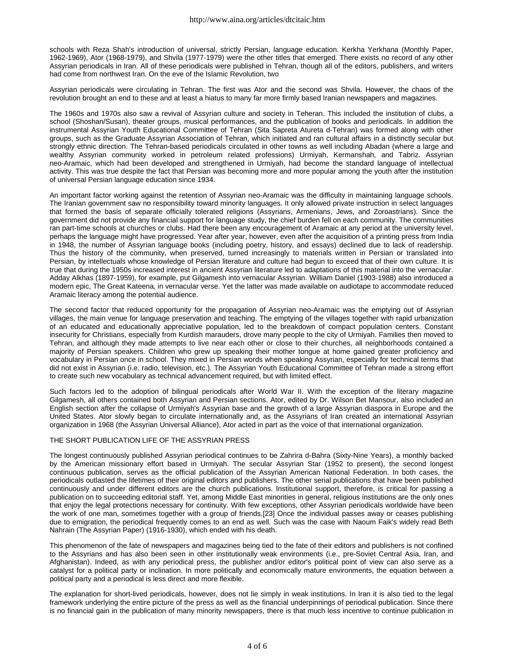schools with Reza Shah's introduction of universal, strictly Persian, language education. Kerkha Yerkhana (Monthly Paper, 1962-1969), Ator (1968-1979), and Shvila (1977-1979) were the other titles that emerged. There exists no record of any other Assyrian periodicals in Iran. All of these periodicals were published in Tehran, though all of the editors, publishers, and writers had come from northwest Iran. On the eve of the Islamic Revolution, two

Assyrian periodicals were circulating in Tehran. The first was Ator and the second was Shvila. However, the chaos of the revolution brought an end to these and at least a hiatus to many far more firmly based Iranian newspapers and magazines.

The 1960s and 1970s also saw a revival of Assyrian culture and society in Teheran. This included the institution of clubs, a school (Shoshan/Susan), theater groups, musical performances, and the publication of books and periodicals. In addition the instrumental Assyrian Youth Educational Committee of Tehran (Sita Sapreta Atureta d-Tehran) was formed along with other groups, such as the Graduate Assyrian Association of Tehran, which initiated and ran cultural affairs in a distinctly secular but strongly ethnic direction. The Tehran-based periodicals circulated in other towns as well including Abadan (where a large and wealthy Assyrian community worked in petroleum related professions) Urmiyah, Kermanshah, and Tabriz. Assyrian neo-Aramaic, which had been developed and strengthened in Urmiyah, had become the standard language of intellectual activity. This was true despite the fact that Persian was becoming more and more popular among the youth after the institution of universal Persian language education since 1934.

An important factor working against the retention of Assyrian neo-Aramaic was the difficulty in maintaining language schools. The Iranian government saw no responsibility toward minority languages. It only allowed private instruction in select languages that formed the basis of separate officially tolerated religions (Assyrians, Armenians, Jews, and Zoroastrians). Since the government did not provide any financial support for language study, the chief burden fell on each community. The communities ran part-time schools at churches or clubs. Had there been any encouragement of Aramaic at any period at the university level, perhaps the language might have progressed. Year after year, however, even after the acquisition of a printing press from India in 1948, the number of Assyrian language books (including poetry, history, and essays) declined due to lack of readership. Thus the history of the community, when preserved, turned increasingly to materials written in Persian or translated into Persian, by intellectuals whose knowledge of Persian literature and culture had begun to exceed that of their own culture. It is true that during the 1950s increased interest in ancient Assyrian literature led to adaptations of this material into the vernacular. Adday Alkhas (1897-1959), for example, put Gilgamesh into vernacular Assyrian. William Daniel (1903-1988) also introduced a modern epic, The Great Kateena, in vernacular verse. Yet the latter was made available on audiotape to accommodate reduced Aramaic literacy among the potential audience.

The second factor that reduced opportunity for the propagation of Assyrian neo-Aramaic was the emptying out of Assyrian villages, the main venue for language preservation and teaching. The emptying of the villages together with rapid urbanization of an educated and educationally appreciative population, led to the breakdown of compact population centers. Constant insecurity for Christians, especially from Kurdish marauders, drove many people to the city of Urmiyah. Families then moved to Tehran, and although they made attempts to live near each other or close to their churches, all neighborhoods contained a majority of Persian speakers. Children who grew up speaking their mother tongue at home gained greater proficiency and vocabulary in Persian once in school. They mixed in Persian words when speaking Assyrian, especially for technical terms that did not exist in Assyrian (i.e. radio, television, etc.). The Assyrian Youth Educational Committee of Tehran made a strong effort to create such new vocabulary as technical advancement required, but with limited effect.

Such factors led to the adoption of bilingual periodicals after World War II. With the exception of the literary magazine Gilgamesh, all others contained both Assyrian and Persian sections. Ator, edited by Dr. Wilson Bet Mansour, also included an English section after the collapse of Urmiyah's Assyrian base and the growth of a large Assyrian diaspora in Europe and the United States. Ator slowly began to circulate internationally and, as the Assyrians of Iran created an international Assyrian organization in 1968 (the Assyrian Universal Alliance), Ator acted in part as the voice of that international organization.

# THE SHORT PUBLICATION LIFE OF THE ASSYRIAN PRESS

The longest continuously published Assyrian periodical continues to be Zahrira d-Bahra (Sixty-Nine Years), a monthly backed by the American missionary effort based in Urmiyah. The secular Assyrian Star (1952 to present), the second longest continuous publication, serves as the official publication of the Assyrian American National Federation. In both cases, the periodicals outlasted the lifetimes of their original editors and publishers. The other serial publications that have been published continuously and under different editors are the church publications. Institutional support, therefore, is critical for passing a publication on to succeeding editorial staff. Yet, among Middle East minorities in general, religious institutions are the only ones that enjoy the legal protections necessary for continuity. With few exceptions, other Assyrian periodicals worldwide have been the work of one man, sometimes together with a group of friends.[23] Once the individual passes away or ceases publishing due to emigration, the periodical frequently comes to an end as well. Such was the case with Naoum Faik's widely read Beth Nahrain (The Assyrian Paper) (1916-1930), which ended with his death.

This phenomenon of the fate of newspapers and magazines being tied to the fate of their editors and publishers is not confined to the Assyrians and has also been seen in other institutionally weak environments (i.e., pre-Soviet Central Asia, Iran, and Afghanistan). Indeed, as with any periodical press, the publisher and/or editor's political point of view can also serve as a catalyst for a political party or inclination. In more politically and economically mature environments, the equation between a political party and a periodical is less direct and more flexible.

The explanation for short-lived periodicals, however, does not lie simply in weak institutions. In Iran it is also tied to the legal framework underlying the entire picture of the press as well as the financial underpinnings of periodical publication. Since there is no financial gain in the publication of many minority newspapers, there is that much less incentive to continue publication in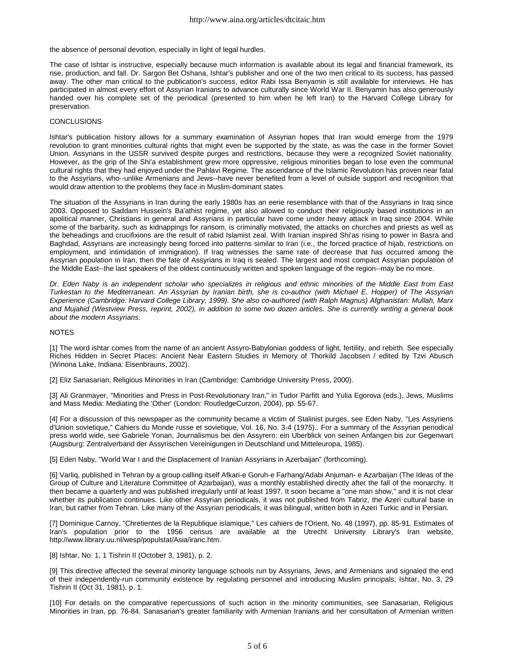the absence of personal devotion, especially in light of legal hurdles.

The case of Ishtar is instructive, especially because much information is available about its legal and financial framework, its rise, production, and fall. Dr. Sargon Bet Oshana, Ishtar's publisher and one of the two men critical to its success, has passed away. The other man critical to the publication's success, editor Rabi Issa Benyamin is still available for interviews. He has participated in almost every effort of Assyrian Iranians to advance culturally since World War II. Benyamin has also generously handed over his complete set of the periodical (presented to him when he left Iran) to the Harvard College Library for preservation.

#### **CONCLUSIONS**

Ishtar's publication history allows for a summary examination of Assyrian hopes that Iran would emerge from the 1979 revolution to grant minorities cultural rights that might even be supported by the state, as was the case in the former Soviet Union. Assyrians in the USSR survived despite purges and restrictions, because they were a recognized Soviet nationality. However, as the grip of the Shi'a establishment grew more oppressive, religious minorities began to lose even the communal cultural rights that they had enjoyed under the Pahlavi Regime. The ascendance of the Islamic Revolution has proven near fatal to the Assyrians, who--unlike Armenians and Jews--have never benefited from a level of outside support and recognition that would draw attention to the problems they face in Muslim-dominant states.

The situation of the Assyrians in Iran during the early 1980s has an eerie resemblance with that of the Assyrians in Iraq since 2003. Opposed to Saddam Hussein's Ba'athist regime, yet also allowed to conduct their religiously based institutions in an apolitical manner, Christians in general and Assyrians in particular have come under heavy attack in Iraq since 2004. While some of the barbarity, such as kidnappings for ransom, is criminally motivated, the attacks on churches and priests as well as the beheadings and crucifixions are the result of rabid Islamist zeal. With Iranian inspired Shi'as rising to power in Basra and Baghdad, Assyrians are increasingly being forced into patterns similar to Iran (i.e., the forced practice of hijab, restrictions on employment, and intimidation of immigration). If Iraq witnesses the same rate of decrease that has occurred among the Assyrian population in Iran, then the fate of Assyrians in Iraq is sealed. The largest and most compact Assyrian population of the Middle East--the last speakers of the oldest continuously written and spoken language of the region--may be no more.

Dr. Eden Naby is an independent scholar who specializes in religious and ethnic minorities of the Middle East from East Turkestan to the Mediterranean. An Assyrian by Iranian birth, she is co-author (with Michael E. Hopper) of The Assyrian Experience (Cambridge: Harvard College Library, 1999). She also co-authored (with Ralph Magnus) Afghanistan: Mullah, Marx and Mujahid (Westview Press, reprint, 2002), in addition to some two dozen articles. She is currently writing a general book *about the modern Assyrians.*

### NOTES

[1] The word ishtar comes from the name of an ancient Assyro-Babylonian goddess of light, fertility, and rebirth. See especially Riches Hidden in Secret Places: Ancient Near Eastern Studies in Memory of Thorkild Jacobsen / edited by Tzvi Abusch (Winona Lake, Indiana: Eisenbrauns, 2002).

[2] Eliz Sanasarian, Religious Minorities in Iran (Cambridge: Cambridge University Press, 2000).

[3] Ali Granmayer, "Minorities and Press in Post-Revolutionary Iran," in Tudor Parfitt and Yulia Egorova (eds.), Jews, Muslims and Mass Media: Mediating the 'Other' (London: RoutledgeCurzon, 2004), pp. 55-67.

[4] For a discussion of this newspaper as the community became a victim of Stalinist purges, see Eden Naby, "Les Assyriens d'Union sovietique," Cahiers du Monde russe et sovietique, Vol. 16, No. 3-4 (1975).. For a summary of the Assyrian periodical press world wide, see Gabriele Yonan, Journalismus bei den Assyrern: ein Uberblick von seinen Anfangen bis zur Gegenwart (Augsburg: Zentralverband der Assyrischen Vereinigungen in Deutschland und Mitteleuropa, 1985).

[5] Eden Naby, "World War I and the Displacement of Iranian Assyrians in Azerbaijan" (forthcoming).

[6] Varliq, published in Tehran by a group calling itself Afkari-e Goruh-e Farhang/Adabi Anjuman- e Azarbaijan (The Ideas of the Group of Culture and Literature Committee of Azarbaijan), was a monthly established directly after the fall of the monarchy. It then became a quarterly and was published irregularly until at least 1997. It soon became a "one man show," and it is not clear whether its publication continues. Like other Assyrian periodicals, it was not published from Tabriz, the Azeri cultural base in Iran, but rather from Tehran. Like many of the Assyrian periodicals, it was bilingual, written both in Azeri Turkic and in Persian.

[7] Dominique Carnoy, "Chretientes de la Republique islamique," Les cahiers de l'Orient, No. 48 (1997), pp. 85-91. Estimates of Iran's population prior to the 1956 census are available at the Utrecht University Library's Iran website, http://www.library.uu.nl/wesp/populstat/Asia/iranc.htm.

# [8] Ishtar, No. 1, 1 Tishrin II (October 3, 1981), p. 2.

[9] This directive affected the several minority language schools run by Assyrians, Jews, and Armenians and signaled the end of their independently-run community existence by regulating personnel and introducing Muslim principals; Ishtar, No. 3, 29 Tishrin II (Oct 31, 1981), p. 1.

[10] For details on the comparative repercussions of such action in the minority communities, see Sanasarian, Religious Minorities in Iran, pp. 76-84. Sanasarian's greater familiarity with Armenian Iranians and her consultation of Armenian written